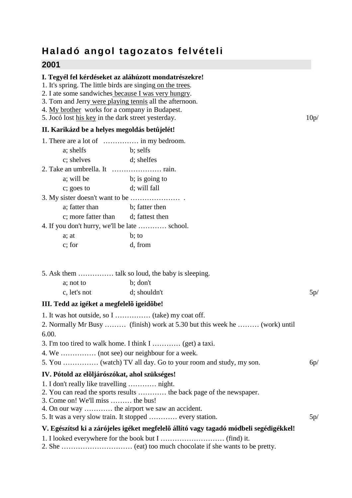# **Haladó angol tagozatos felvételi**

# **2001**

## **I. Tegyél fel kérdéseket az aláhúzott mondatrészekre!**

- 1. It's spring. The little birds are singing on the trees.
- 2. I ate some sandwiches because I was very hungry.
- 3. Tom and Jerry were playing tennis all the afternoon.
- 4. My brother works for a company in Budapest.
- 5. Jocó lost his key in the dark street yesterday. 10p/

# **II. Karikázd be a helyes megoldás betûjelét!**

| a; shelfs           | b; selfs                                      |
|---------------------|-----------------------------------------------|
| c; shelves          | d; shelfes                                    |
|                     |                                               |
| a; will be          | b; is going to                                |
| c; goes to          | d; will fall                                  |
|                     |                                               |
| a; fatter than      | b; fatter then                                |
| c; more fatter than | d; fattest then                               |
|                     | 4. If you don't hurry, we'll be late  school. |
| a: at               | b; to                                         |
| c: for              | d, from                                       |

| a: not to    | b; don't     |     |
|--------------|--------------|-----|
| c, let's not | d; shouldn't | 5p/ |

### **III. Tedd az igéket a megfelelõ igeidõbe!**

- 1. It was hot outside, so I …………… (take) my coat off. 2. Normally Mr Busy ……… (finish) work at 5.30 but this week he ……… (work) until 6.00. 3. I'm too tired to walk home. I think I ………… (get) a taxi. 4. We …………… (not see) our neighbour for a week. 5. You …………… (watch) TV all day. Go to your room and study, my son. 6p/ **IV. Pótold az elõljárószókat, ahol szükséges!**  1. I don't really like travelling ………… night. 2. You can read the sports results ………… the back page of the newspaper. 3. Come on! We'll miss ……… the bus! 4. On our way ………… the airport we saw an accident. 5. It was a very slow train. It stopped ………… every station. 5p/ **V. Egészítsd ki a zárójeles igéket megfelelõ állító vagy tagadó módbeli segédigékkel!**  1. I looked everywhere for the book but I ……………………… (find) it.
- 2. She ………………………… (eat) too much chocolate if she wants to be pretty.